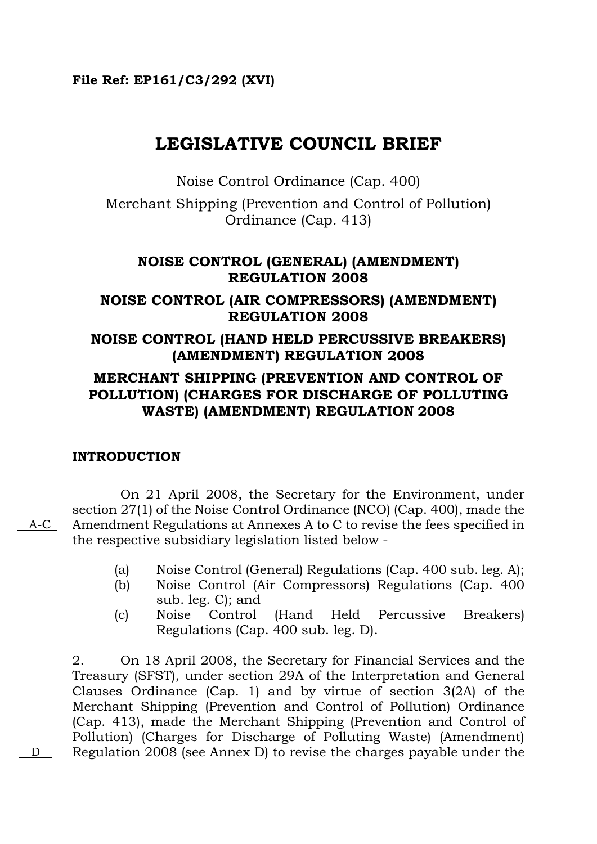## **File Ref: EP161/C3/292 (XVI)**

# **LEGISLATIVE COUNCIL BRIEF**

Noise Control Ordinance (Cap. 400)

Merchant Shipping (Prevention and Control of Pollution) Ordinance (Cap. 413)

## **NOISE CONTROL (GENERAL) (AMENDMENT) REGULATION 2008**

## **NOISE CONTROL (AIR COMPRESSORS) (AMENDMENT) REGULATION 2008**

### **NOISE CONTROL (HAND HELD PERCUSSIVE BREAKERS) (AMENDMENT) REGULATION 2008**

## **MERCHANT SHIPPING (PREVENTION AND CONTROL OF POLLUTION) (CHARGES FOR DISCHARGE OF POLLUTING WASTE) (AMENDMENT) REGULATION 2008**

## **INTRODUCTION**

On 21 April 2008, the Secretary for the Environment, under section 27(1) of the Noise Control Ordinance (NCO) (Cap. 400), made the Amendment Regulations at Annexes A to C to revise the fees specified in the respective subsidiary legislation listed below -

- (a) Noise Control (General) Regulations (Cap. 400 sub. leg. A);
- (b) Noise Control (Air Compressors) Regulations (Cap. 400 sub. leg. C); and
- (c) Noise Control (Hand Held Percussive Breakers) Regulations (Cap. 400 sub. leg. D).

2. On 18 April 2008, the Secretary for Financial Services and the Treasury (SFST), under section 29A of the Interpretation and General Clauses Ordinance (Cap. 1) and by virtue of section 3(2A) of the Merchant Shipping (Prevention and Control of Pollution) Ordinance (Cap. 413), made the Merchant Shipping (Prevention and Control of Pollution) (Charges for Discharge of Polluting Waste) (Amendment) D Regulation 2008 (see Annex D) to revise the charges payable under the

A-C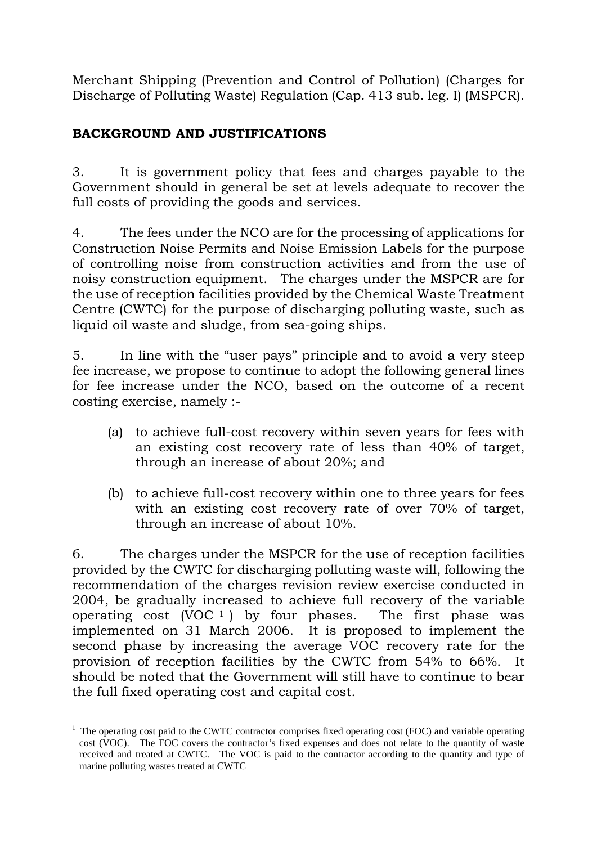Merchant Shipping (Prevention and Control of Pollution) (Charges for Discharge of Polluting Waste) Regulation (Cap. 413 sub. leg. I) (MSPCR).

## **BACKGROUND AND JUSTIFICATIONS**

3. It is government policy that fees and charges payable to the Government should in general be set at levels adequate to recover the full costs of providing the goods and services.

4. The fees under the NCO are for the processing of applications for Construction Noise Permits and Noise Emission Labels for the purpose of controlling noise from construction activities and from the use of noisy construction equipment. The charges under the MSPCR are for the use of reception facilities provided by the Chemical Waste Treatment Centre (CWTC) for the purpose of discharging polluting waste, such as liquid oil waste and sludge, from sea-going ships.

5. In line with the "user pays" principle and to avoid a very steep fee increase, we propose to continue to adopt the following general lines for fee increase under the NCO, based on the outcome of a recent costing exercise, namely :-

- (a) to achieve full-cost recovery within seven years for fees with an existing cost recovery rate of less than 40% of target, through an increase of about 20%; and
- (b) to achieve full-cost recovery within one to three years for fees with an existing cost recovery rate of over 70% of target, through an increase of about 10%.

6. The charges under the MSPCR for the use of reception facilities provided by the CWTC for discharging polluting waste will, following the recommendation of the charges revision review exercise conducted in 2004, be gradually increased to achieve full recovery of the variable operating cost  $(VOC<sup>1</sup>)$  $(VOC<sup>1</sup>)$  $(VOC<sup>1</sup>)$  by four phases. The first phase was implemented on 31 March 2006. It is proposed to implement the second phase by increasing the average VOC recovery rate for the provision of reception facilities by the CWTC from 54% to 66%. It should be noted that the Government will still have to continue to bear the full fixed operating cost and capital cost.

1

<span id="page-1-0"></span><sup>1</sup> The operating cost paid to the CWTC contractor comprises fixed operating cost (FOC) and variable operating cost (VOC). The FOC covers the contractor's fixed expenses and does not relate to the quantity of waste received and treated at CWTC. The VOC is paid to the contractor according to the quantity and type of marine polluting wastes treated at CWTC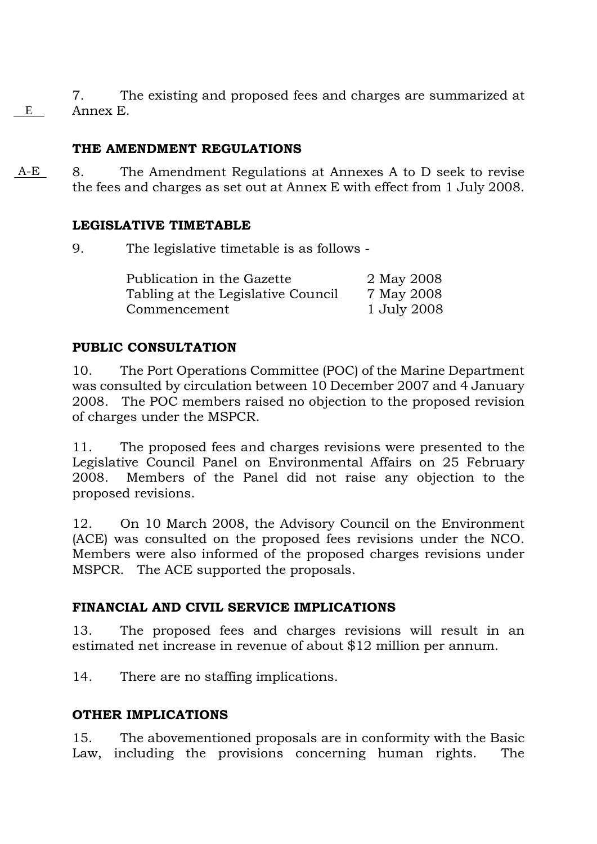7. The existing and proposed fees and charges are summarized at Annex E. E

## **THE AMENDMENT REGULATIONS**

 A-E 8. The Amendment Regulations at Annexes A to D seek to revise the fees and charges as set out at Annex E with effect from 1 July 2008.

## **LEGISLATIVE TIMETABLE**

9. The legislative timetable is as follows -

| Publication in the Gazette         | 2 May 2008  |
|------------------------------------|-------------|
| Tabling at the Legislative Council | 7 May 2008  |
| Commencement                       | 1 July 2008 |

## **PUBLIC CONSULTATION**

10. The Port Operations Committee (POC) of the Marine Department was consulted by circulation between 10 December 2007 and 4 January 2008. The POC members raised no objection to the proposed revision of charges under the MSPCR.

11. The proposed fees and charges revisions were presented to the Legislative Council Panel on Environmental Affairs on 25 February 2008. Members of the Panel did not raise any objection to the proposed revisions.

12. On 10 March 2008, the Advisory Council on the Environment (ACE) was consulted on the proposed fees revisions under the NCO. Members were also informed of the proposed charges revisions under MSPCR. The ACE supported the proposals.

## **FINANCIAL AND CIVIL SERVICE IMPLICATIONS**

13. The proposed fees and charges revisions will result in an estimated net increase in revenue of about \$12 million per annum.

14. There are no staffing implications.

## **OTHER IMPLICATIONS**

15. The abovementioned proposals are in conformity with the Basic Law, including the provisions concerning human rights. The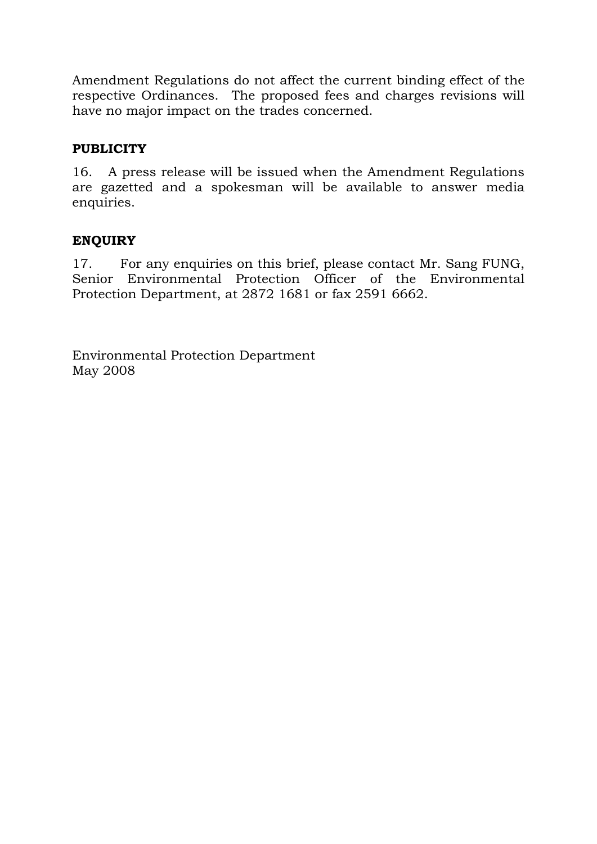Amendment Regulations do not affect the current binding effect of the respective Ordinances. The proposed fees and charges revisions will have no major impact on the trades concerned.

## **PUBLICITY**

16. A press release will be issued when the Amendment Regulations are gazetted and a spokesman will be available to answer media enquiries.

## **ENQUIRY**

17. For any enquiries on this brief, please contact Mr. Sang FUNG, Senior Environmental Protection Officer of the Environmental Protection Department, at 2872 1681 or fax 2591 6662.

Environmental Protection Department May 2008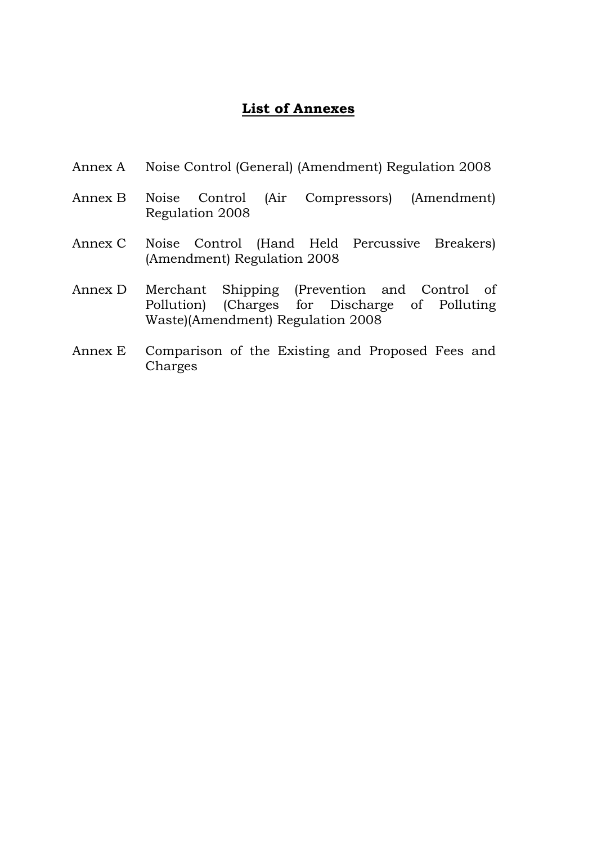## **List of Annexes**

- Annex A Noise Control (General) (Amendment) Regulation 2008
- Annex B Noise Control (Air Compressors) (Amendment) Regulation 2008
- Annex C Noise Control (Hand Held Percussive Breakers) (Amendment) Regulation 2008
- Annex D Merchant Shipping (Prevention and Control of Pollution) (Charges for Discharge of Polluting Waste)(Amendment) Regulation 2008
- Annex E Comparison of the Existing and Proposed Fees and Charges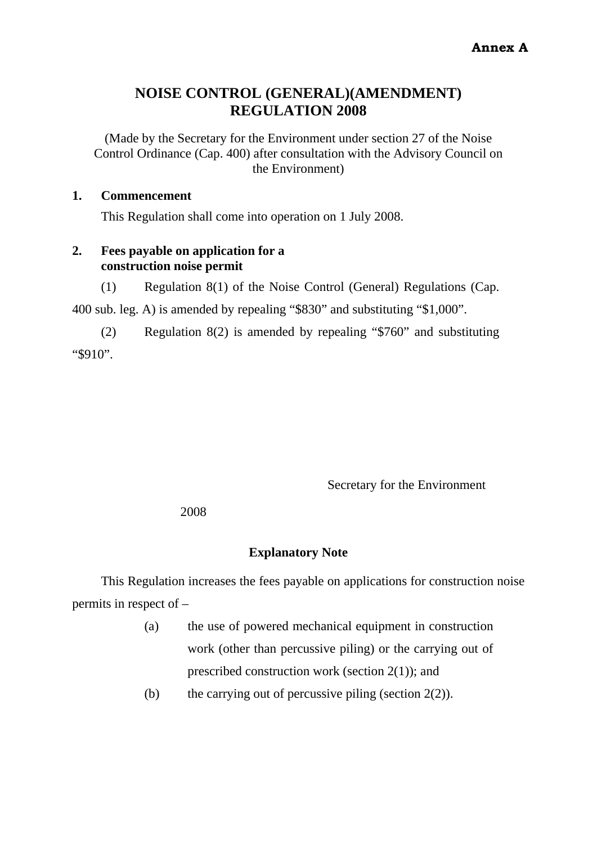## **NOISE CONTROL (GENERAL)(AMENDMENT) REGULATION 2008**

(Made by the Secretary for the Environment under section 27 of the Noise Control Ordinance (Cap. 400) after consultation with the Advisory Council on the Environment)

#### **1. Commencement**

This Regulation shall come into operation on 1 July 2008.

#### **2. Fees payable on application for a construction noise permit**

(1) Regulation 8(1) of the Noise Control (General) Regulations (Cap.

400 sub. leg. A) is amended by repealing "\$830" and substituting "\$1,000".

(2) Regulation 8(2) is amended by repealing "\$760" and substituting "\$910".

Secretary for the Environment

2008

#### **Explanatory Note**

This Regulation increases the fees payable on applications for construction noise permits in respect of –

- (a) the use of powered mechanical equipment in construction work (other than percussive piling) or the carrying out of prescribed construction work (section 2(1)); and
- (b) the carrying out of percussive piling (section  $2(2)$ ).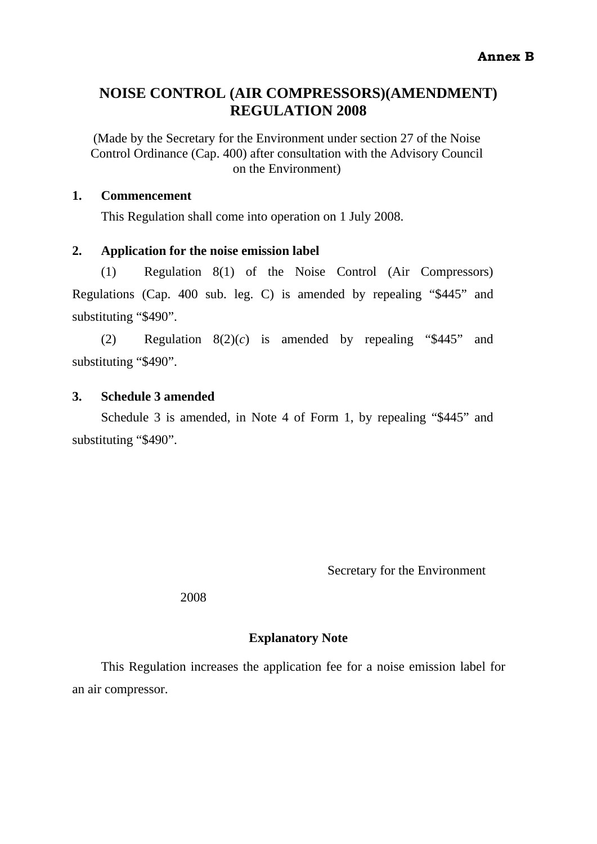## **NOISE CONTROL (AIR COMPRESSORS)(AMENDMENT) REGULATION 2008**

(Made by the Secretary for the Environment under section 27 of the Noise Control Ordinance (Cap. 400) after consultation with the Advisory Council on the Environment)

#### **1. Commencement**

This Regulation shall come into operation on 1 July 2008.

#### **2. Application for the noise emission label**

(1) Regulation 8(1) of the Noise Control (Air Compressors) Regulations (Cap. 400 sub. leg. C) is amended by repealing "\$445" and substituting "\$490".

(2) Regulation 8(2)(*c*) is amended by repealing "\$445" and substituting "\$490".

#### **3. Schedule 3 amended**

Schedule 3 is amended, in Note 4 of Form 1, by repealing "\$445" and substituting "\$490".

Secretary for the Environment

2008

#### **Explanatory Note**

This Regulation increases the application fee for a noise emission label for an air compressor.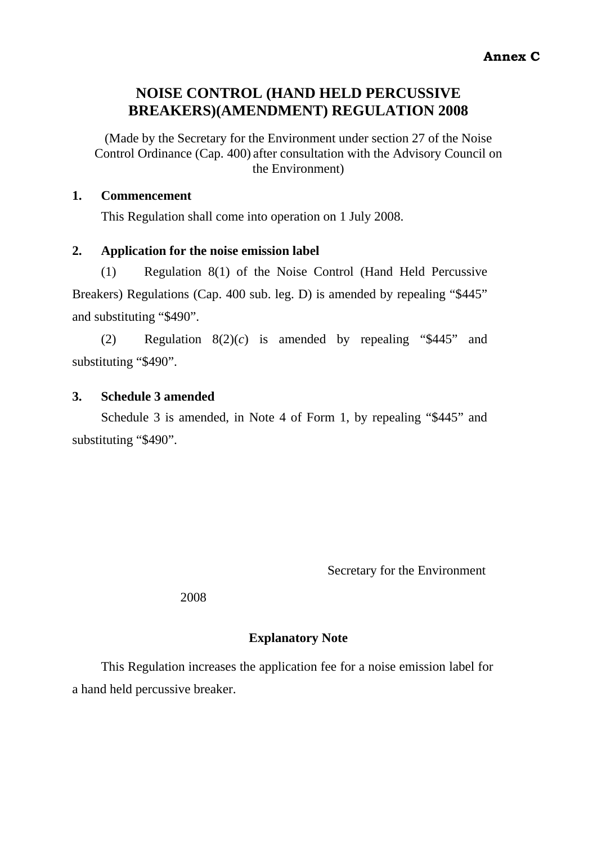## **NOISE CONTROL (HAND HELD PERCUSSIVE BREAKERS)(AMENDMENT) REGULATION 2008**

(Made by the Secretary for the Environment under section 27 of the Noise Control Ordinance (Cap. 400) after consultation with the Advisory Council on the Environment)

#### **1. Commencement**

This Regulation shall come into operation on 1 July 2008.

#### **2. Application for the noise emission label**

(1) Regulation 8(1) of the Noise Control (Hand Held Percussive Breakers) Regulations (Cap. 400 sub. leg. D) is amended by repealing "\$445" and substituting "\$490".

(2) Regulation 8(2)(*c*) is amended by repealing "\$445" and substituting "\$490".

### **3. Schedule 3 amended**

Schedule 3 is amended, in Note 4 of Form 1, by repealing "\$445" and substituting "\$490".

Secretary for the Environment

2008

## **Explanatory Note**

This Regulation increases the application fee for a noise emission label for a hand held percussive breaker.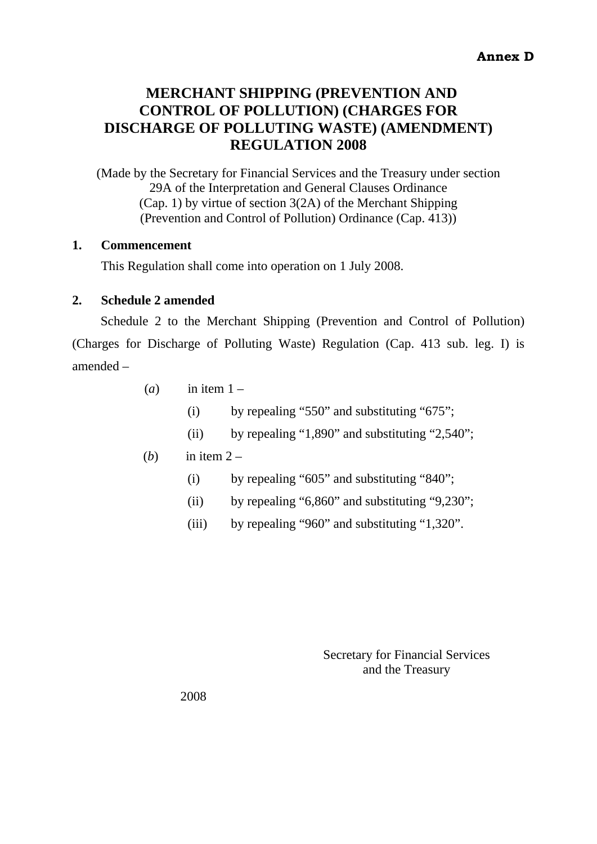## **MERCHANT SHIPPING (PREVENTION AND CONTROL OF POLLUTION) (CHARGES FOR DISCHARGE OF POLLUTING WASTE) (AMENDMENT) REGULATION 2008**

(Made by the Secretary for Financial Services and the Treasury under section 29A of the Interpretation and General Clauses Ordinance (Cap. 1) by virtue of section 3(2A) of the Merchant Shipping (Prevention and Control of Pollution) Ordinance (Cap. 413))

#### **1. Commencement**

This Regulation shall come into operation on 1 July 2008.

#### **2. Schedule 2 amended**

Schedule 2 to the Merchant Shipping (Prevention and Control of Pollution) (Charges for Discharge of Polluting Waste) Regulation (Cap. 413 sub. leg. I) is amended –

- $(a)$  in item  $1 -$ 
	- (i) by repealing "550" and substituting "675";
	- (ii) by repealing "1,890" and substituting "2,540";

#### (*b*) in item  $2 -$

- (i) by repealing "605" and substituting "840";
- (ii) by repealing "6,860" and substituting "9,230";
- (iii) by repealing "960" and substituting "1,320".

Secretary for Financial Services and the Treasury

2008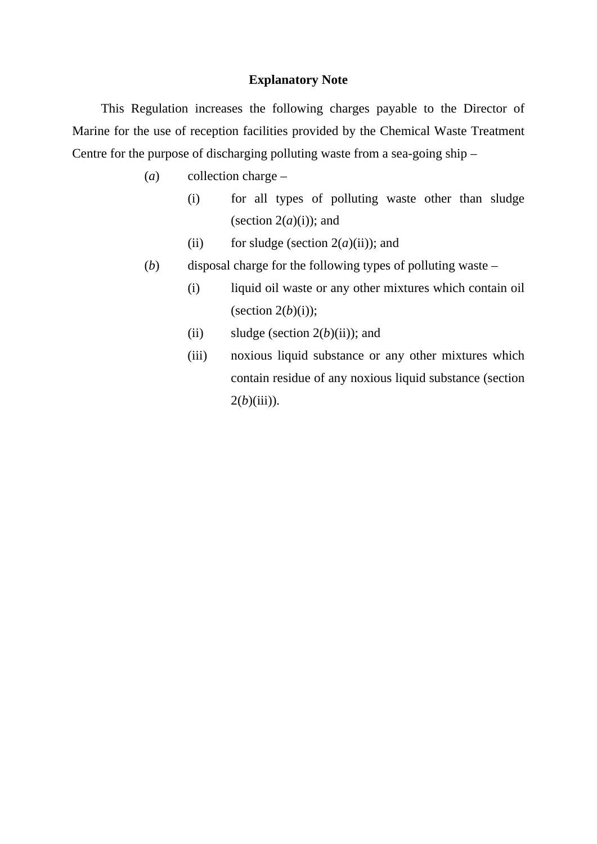#### **Explanatory Note**

This Regulation increases the following charges payable to the Director of Marine for the use of reception facilities provided by the Chemical Waste Treatment Centre for the purpose of discharging polluting waste from a sea-going ship –

- (*a*) collection charge
	- (i) for all types of polluting waste other than sludge (section  $2(a)(i)$ ); and
	- (ii) for sludge (section  $2(a)(ii)$ ); and
- (*b*) disposal charge for the following types of polluting waste
	- (i) liquid oil waste or any other mixtures which contain oil (section  $2(b)(i)$ );
	- (ii) sludge (section  $2(b)(ii)$ ); and
	- (iii) noxious liquid substance or any other mixtures which contain residue of any noxious liquid substance (section  $2(b)(iii)$ ).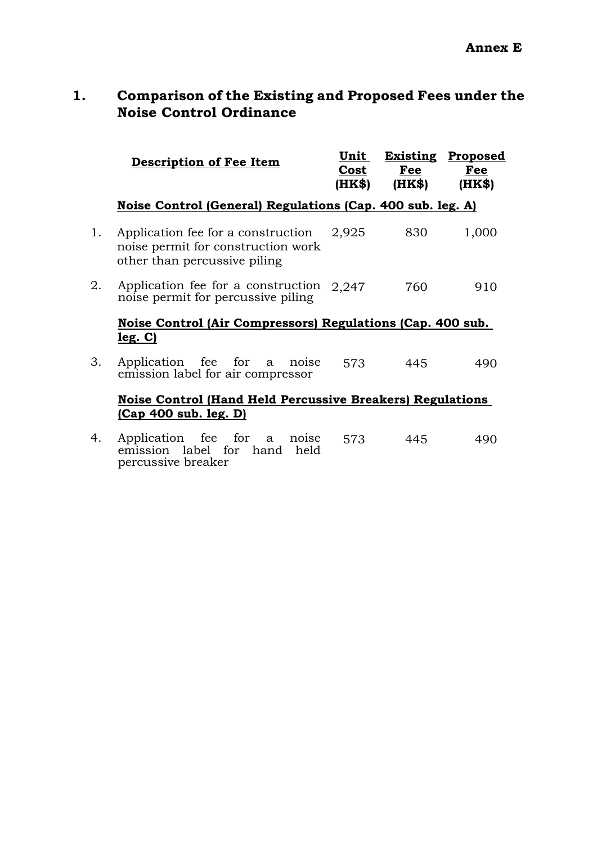## **1. Comparison of the Existing and Proposed Fees under the Noise Control Ordinance**

|    | <b>Description of Fee Item</b>                                                                           |  |     |   |       | Unit<br>Cost<br>(HK\$) | Fee<br>(HK\$) | <b>Existing Proposed</b><br>Fee<br>(HK\$) |  |
|----|----------------------------------------------------------------------------------------------------------|--|-----|---|-------|------------------------|---------------|-------------------------------------------|--|
|    | Noise Control (General) Regulations (Cap. 400 sub. leg. A)                                               |  |     |   |       |                        |               |                                           |  |
| 1. | Application fee for a construction<br>noise permit for construction work<br>other than percussive piling |  |     |   |       | 2,925                  | 830           | 1,000                                     |  |
| 2. | Application fee for a construction $2,247$<br>noise permit for percussive piling                         |  |     |   |       |                        | 760           | 910                                       |  |
|    | Noise Control (Air Compressors) Regulations (Cap. 400 sub.                                               |  |     |   |       |                        |               |                                           |  |
|    | leg. C)                                                                                                  |  |     |   |       |                        |               |                                           |  |
| 3. | Application fee for a noise<br>emission label for air compressor                                         |  |     |   |       | 573                    | 445           | 490                                       |  |
|    | <b>Noise Control (Hand Held Percussive Breakers) Regulations</b>                                         |  |     |   |       |                        |               |                                           |  |
|    | <u>(Cap 400 sub. leg. D)</u>                                                                             |  |     |   |       |                        |               |                                           |  |
| 4. | Application fee                                                                                          |  | for | a | noise | 573                    | 445           | 490                                       |  |

emission label for hand held percussive breaker 573 445 490